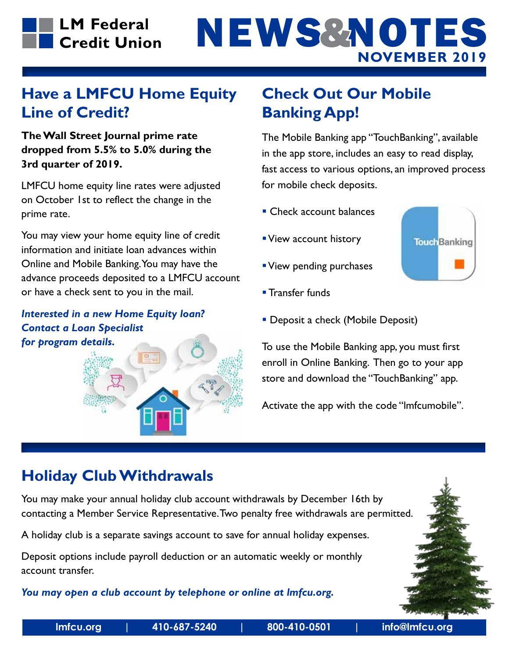# **NOVEMBER 2019** NEWS&NOTES

#### **Have a LMFCU Home Equity Line of Credit?**

**The Wall Street Journal prime rate dropped from 5.5% to 5.0% during the 3rd quarter of 2019.**

LMFCU home equity line rates were adjusted on October 1st to reflect the change in the prime rate.

You may view your home equity line of credit information and initiate loan advances within Online and Mobile Banking. You may have the advance proceeds deposited to a LMFCU account or have a check sent to you in the mail.

*Interested in a new Home Equity loan? Contact a Loan Specialist for program details.*



### **Check Out Our Mobile Banking App!**

The Mobile Banking app "TouchBanking", available in the app store, includes an easy to read display, fast access to various options, an improved process for mobile check deposits.

- **Check account balances**
- View account history
- View pending purchases
- **Transfer funds**



**Deposit a check (Mobile Deposit)** 

To use the Mobile Banking app, you must first enroll in Online Banking. Then go to your app store and download the "TouchBanking" app.

Activate the app with the code "lmfcumobile".

#### **Holiday Club Withdrawals**

You may make your annual holiday club account withdrawals by December 16th by contacting a Member Service Representative. Two penalty free withdrawals are permitted.

A holiday club is a separate savings account to save for annual holiday expenses.

Deposit options include payroll deduction or an automatic weekly or monthly account transfer.

*You may open a club account by telephone or online at lmfcu.org.*